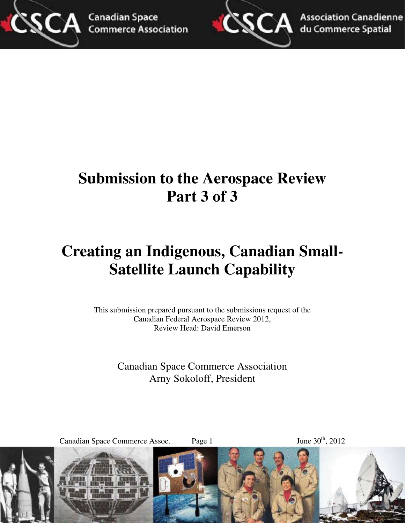



**Association Canadienne** du Commerce Spatial

# **Submission to the Aerospace Review Part 3 of 3**

# **Creating an Indigenous, Canadian Small-Satellite Launch Capability**

This submission prepared pursuant to the submissions request of the Canadian Federal Aerospace Review 2012, Review Head: David Emerson

> Canadian Space Commerce Association Arny Sokoloff, President

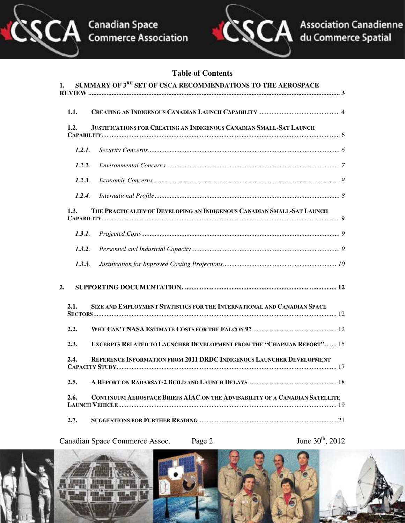



#### **Table of Contents**

| 1. |        | SUMMARY OF 3RD SET OF CSCA RECOMMENDATIONS TO THE AEROSPACE                  |  |
|----|--------|------------------------------------------------------------------------------|--|
|    | 1.1.   |                                                                              |  |
|    | 1.2.   | JUSTIFICATIONS FOR CREATING AN INDIGENOUS CANADIAN SMALL-SAT LAUNCH          |  |
|    | 1.2.1. |                                                                              |  |
|    | 1.2.2. |                                                                              |  |
|    | 1.2.3. |                                                                              |  |
|    | 1.2.4. |                                                                              |  |
|    | 1.3.   | THE PRACTICALITY OF DEVELOPING AN INDIGENOUS CANADIAN SMALL-SAT LAUNCH       |  |
|    | 1.3.1. |                                                                              |  |
|    | 1.3.2. |                                                                              |  |
|    | 1.3.3. |                                                                              |  |
| 2. |        |                                                                              |  |
|    | 2.1.   | SIZE AND EMPLOYMENT STATISTICS FOR THE INTERNATIONAL AND CANADIAN SPACE      |  |
|    | 2.2.   |                                                                              |  |
|    | 2.3.   | <b>EXCERPTS RELATED TO LAUNCHER DEVELOPMENT FROM THE "CHAPMAN REPORT" 15</b> |  |
|    | 2.4.   | <b>REFERENCE INFORMATION FROM 2011 DRDC INDIGENOUS LAUNCHER DEVELOPMENT</b>  |  |
|    | 2.5.   |                                                                              |  |
|    | 2.6.   | CONTINUUM AEROSPACE BRIEFS AIAC ON THE ADVISABILITY OF A CANADIAN SATELLITE  |  |
|    | 2.7.   |                                                                              |  |

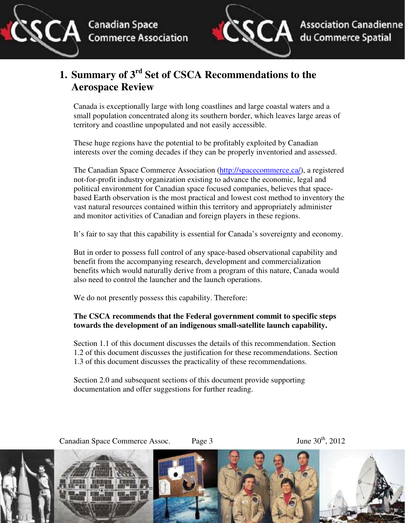



## **1. Summary of 3rd Set of CSCA Recommendations to the Aerospace Review**

Canada is exceptionally large with long coastlines and large coastal waters and a small population concentrated along its southern border, which leaves large areas of territory and coastline unpopulated and not easily accessible.

These huge regions have the potential to be profitably exploited by Canadian interests over the coming decades if they can be properly inventoried and assessed.

The Canadian Space Commerce Association (http://spacecommerce.ca/), a registered not-for-profit industry organization existing to advance the economic, legal and political environment for Canadian space focused companies, believes that spacebased Earth observation is the most practical and lowest cost method to inventory the vast natural resources contained within this territory and appropriately administer and monitor activities of Canadian and foreign players in these regions.

It's fair to say that this capability is essential for Canada's sovereignty and economy.

But in order to possess full control of any space-based observational capability and benefit from the accompanying research, development and commercialization benefits which would naturally derive from a program of this nature, Canada would also need to control the launcher and the launch operations.

We do not presently possess this capability. Therefore:

#### **The CSCA recommends that the Federal government commit to specific steps towards the development of an indigenous small-satellite launch capability.**

Section 1.1 of this document discusses the details of this recommendation. Section 1.2 of this document discusses the justification for these recommendations. Section 1.3 of this document discusses the practicality of these recommendations.

Section 2.0 and subsequent sections of this document provide supporting documentation and offer suggestions for further reading.

Canadian Space Commerce Assoc. Page 3 June 30<sup>th</sup>, 2012

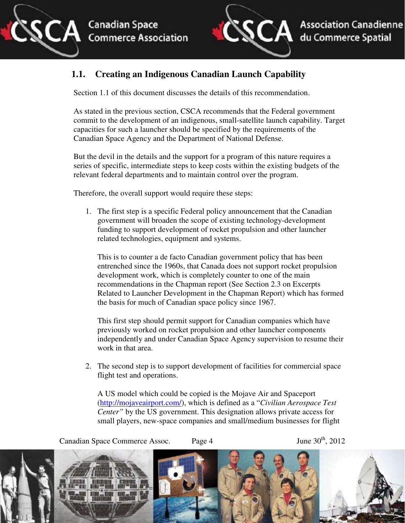

## **1.1. Creating an Indigenous Canadian Launch Capability**

Section 1.1 of this document discusses the details of this recommendation.

As stated in the previous section, CSCA recommends that the Federal government commit to the development of an indigenous, small-satellite launch capability. Target capacities for such a launcher should be specified by the requirements of the Canadian Space Agency and the Department of National Defense.

But the devil in the details and the support for a program of this nature requires a series of specific, intermediate steps to keep costs within the existing budgets of the relevant federal departments and to maintain control over the program.

Therefore, the overall support would require these steps:

1. The first step is a specific Federal policy announcement that the Canadian government will broaden the scope of existing technology-development funding to support development of rocket propulsion and other launcher related technologies, equipment and systems.

This is to counter a de facto Canadian government policy that has been entrenched since the 1960s, that Canada does not support rocket propulsion development work, which is completely counter to one of the main recommendations in the Chapman report (See Section 2.3 on Excerpts Related to Launcher Development in the Chapman Report) which has formed the basis for much of Canadian space policy since 1967.

This first step should permit support for Canadian companies which have previously worked on rocket propulsion and other launcher components independently and under Canadian Space Agency supervision to resume their work in that area.

2. The second step is to support development of facilities for commercial space flight test and operations.

A US model which could be copied is the Mojave Air and Spaceport (http://mojaveairport.com/), which is defined as a "*Civilian Aerospace Test Center"* by the US government. This designation allows private access for small players, new-space companies and small/medium businesses for flight

Canadian Space Commerce Assoc. Page 4 June 30<sup>th</sup>, 2012

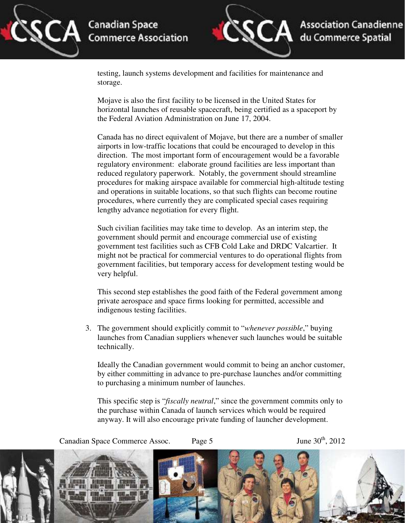



testing, launch systems development and facilities for maintenance and storage.

Mojave is also the first facility to be licensed in the United States for horizontal launches of reusable spacecraft, being certified as a spaceport by the Federal Aviation Administration on June 17, 2004.

Canada has no direct equivalent of Mojave, but there are a number of smaller airports in low-traffic locations that could be encouraged to develop in this direction. The most important form of encouragement would be a favorable regulatory environment: elaborate ground facilities are less important than reduced regulatory paperwork. Notably, the government should streamline procedures for making airspace available for commercial high-altitude testing and operations in suitable locations, so that such flights can become routine procedures, where currently they are complicated special cases requiring lengthy advance negotiation for every flight.

Such civilian facilities may take time to develop. As an interim step, the government should permit and encourage commercial use of existing government test facilities such as CFB Cold Lake and DRDC Valcartier. It might not be practical for commercial ventures to do operational flights from government facilities, but temporary access for development testing would be very helpful.

This second step establishes the good faith of the Federal government among private aerospace and space firms looking for permitted, accessible and indigenous testing facilities.

3. The government should explicitly commit to "*whenever possible*," buying launches from Canadian suppliers whenever such launches would be suitable technically.

Ideally the Canadian government would commit to being an anchor customer, by either committing in advance to pre-purchase launches and/or committing to purchasing a minimum number of launches.

This specific step is "*fiscally neutral*," since the government commits only to the purchase within Canada of launch services which would be required anyway. It will also encourage private funding of launcher development.

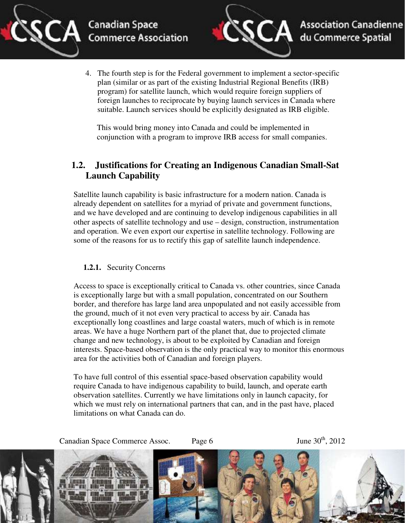

4. The fourth step is for the Federal government to implement a sector-specific plan (similar or as part of the existing Industrial Regional Benefits (IRB) program) for satellite launch, which would require foreign suppliers of foreign launches to reciprocate by buying launch services in Canada where suitable. Launch services should be explicitly designated as IRB eligible.

This would bring money into Canada and could be implemented in conjunction with a program to improve IRB access for small companies.

## **1.2. Justifications for Creating an Indigenous Canadian Small-Sat Launch Capability**

Satellite launch capability is basic infrastructure for a modern nation. Canada is already dependent on satellites for a myriad of private and government functions, and we have developed and are continuing to develop indigenous capabilities in all other aspects of satellite technology and use – design, construction, instrumentation and operation. We even export our expertise in satellite technology. Following are some of the reasons for us to rectify this gap of satellite launch independence.

#### **1.2.1.** Security Concerns

Access to space is exceptionally critical to Canada vs. other countries, since Canada is exceptionally large but with a small population, concentrated on our Southern border, and therefore has large land area unpopulated and not easily accessible from the ground, much of it not even very practical to access by air. Canada has exceptionally long coastlines and large coastal waters, much of which is in remote areas. We have a huge Northern part of the planet that, due to projected climate change and new technology, is about to be exploited by Canadian and foreign interests. Space-based observation is the only practical way to monitor this enormous area for the activities both of Canadian and foreign players.

To have full control of this essential space-based observation capability would require Canada to have indigenous capability to build, launch, and operate earth observation satellites. Currently we have limitations only in launch capacity, for which we must rely on international partners that can, and in the past have, placed limitations on what Canada can do.

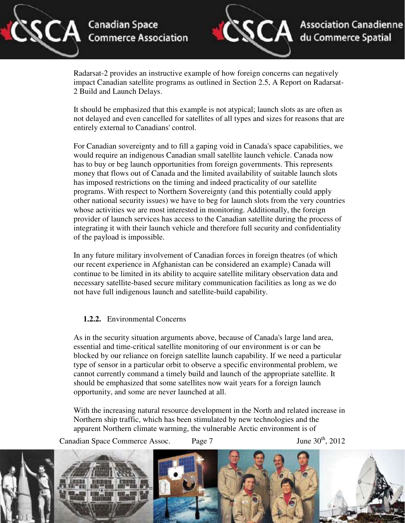



Radarsat-2 provides an instructive example of how foreign concerns can negatively impact Canadian satellite programs as outlined in Section 2.5, A Report on Radarsat-2 Build and Launch Delays.

It should be emphasized that this example is not atypical; launch slots as are often as not delayed and even cancelled for satellites of all types and sizes for reasons that are entirely external to Canadians' control.

For Canadian sovereignty and to fill a gaping void in Canada's space capabilities, we would require an indigenous Canadian small satellite launch vehicle. Canada now has to buy or beg launch opportunities from foreign governments. This represents money that flows out of Canada and the limited availability of suitable launch slots has imposed restrictions on the timing and indeed practicality of our satellite programs. With respect to Northern Sovereignty (and this potentially could apply other national security issues) we have to beg for launch slots from the very countries whose activities we are most interested in monitoring. Additionally, the foreign provider of launch services has access to the Canadian satellite during the process of integrating it with their launch vehicle and therefore full security and confidentiality of the payload is impossible.

In any future military involvement of Canadian forces in foreign theatres (of which our recent experience in Afghanistan can be considered an example) Canada will continue to be limited in its ability to acquire satellite military observation data and necessary satellite-based secure military communication facilities as long as we do not have full indigenous launch and satellite-build capability.

#### **1.2.2.** Environmental Concerns

As in the security situation arguments above, because of Canada's large land area, essential and time-critical satellite monitoring of our environment is or can be blocked by our reliance on foreign satellite launch capability. If we need a particular type of sensor in a particular orbit to observe a specific environmental problem, we cannot currently command a timely build and launch of the appropriate satellite. It should be emphasized that some satellites now wait years for a foreign launch opportunity, and some are never launched at all.

With the increasing natural resource development in the North and related increase in Northern ship traffic, which has been stimulated by new technologies and the apparent Northern climate warming, the vulnerable Arctic environment is of

Canadian Space Commerce Assoc. Page 7 June 30<sup>th</sup>, 2012

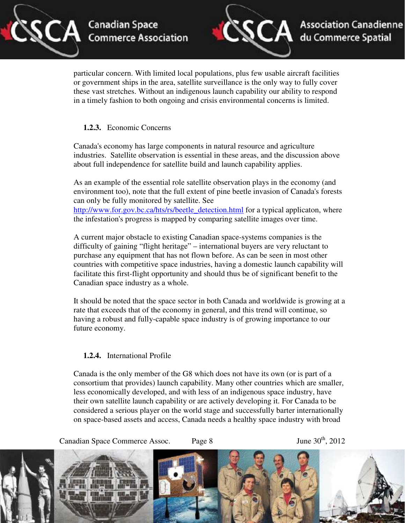



particular concern. With limited local populations, plus few usable aircraft facilities or government ships in the area, satellite surveillance is the only way to fully cover these vast stretches. Without an indigenous launch capability our ability to respond in a timely fashion to both ongoing and crisis environmental concerns is limited.

#### **1.2.3.** Economic Concerns

Canada's economy has large components in natural resource and agriculture industries. Satellite observation is essential in these areas, and the discussion above about full independence for satellite build and launch capability applies.

As an example of the essential role satellite observation plays in the economy (and environment too), note that the full extent of pine beetle invasion of Canada's forests can only be fully monitored by satellite. See http://www.for.gov.bc.ca/hts/rs/beetle\_detection.html for a typical applicaton, where the infestation's progress is mapped by comparing satellite images over time.

A current major obstacle to existing Canadian space-systems companies is the difficulty of gaining "flight heritage" – international buyers are very reluctant to purchase any equipment that has not flown before. As can be seen in most other countries with competitive space industries, having a domestic launch capability will facilitate this first-flight opportunity and should thus be of significant benefit to the Canadian space industry as a whole.

It should be noted that the space sector in both Canada and worldwide is growing at a rate that exceeds that of the economy in general, and this trend will continue, so having a robust and fully-capable space industry is of growing importance to our future economy.

#### **1.2.4.** International Profile

Canada is the only member of the G8 which does not have its own (or is part of a consortium that provides) launch capability. Many other countries which are smaller, less economically developed, and with less of an indigenous space industry, have their own satellite launch capability or are actively developing it. For Canada to be considered a serious player on the world stage and successfully barter internationally on space-based assets and access, Canada needs a healthy space industry with broad

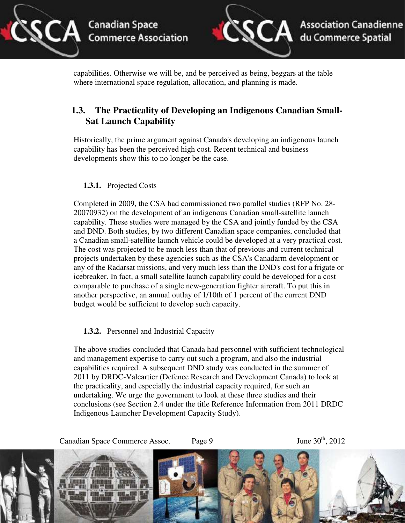



capabilities. Otherwise we will be, and be perceived as being, beggars at the table where international space regulation, allocation, and planning is made.

## **1.3. The Practicality of Developing an Indigenous Canadian Small-Sat Launch Capability**

Historically, the prime argument against Canada's developing an indigenous launch capability has been the perceived high cost. Recent technical and business developments show this to no longer be the case.

#### **1.3.1.** Projected Costs

Completed in 2009, the CSA had commissioned two parallel studies (RFP No. 28- 20070932) on the development of an indigenous Canadian small-satellite launch capability. These studies were managed by the CSA and jointly funded by the CSA and DND. Both studies, by two different Canadian space companies, concluded that a Canadian small-satellite launch vehicle could be developed at a very practical cost. The cost was projected to be much less than that of previous and current technical projects undertaken by these agencies such as the CSA's Canadarm development or any of the Radarsat missions, and very much less than the DND's cost for a frigate or icebreaker. In fact, a small satellite launch capability could be developed for a cost comparable to purchase of a single new-generation fighter aircraft. To put this in another perspective, an annual outlay of 1/10th of 1 percent of the current DND budget would be sufficient to develop such capacity.

#### **1.3.2.** Personnel and Industrial Capacity

The above studies concluded that Canada had personnel with sufficient technological and management expertise to carry out such a program, and also the industrial capabilities required. A subsequent DND study was conducted in the summer of 2011 by DRDC-Valcartier (Defence Research and Development Canada) to look at the practicality, and especially the industrial capacity required, for such an undertaking. We urge the government to look at these three studies and their conclusions (see Section 2.4 under the title Reference Information from 2011 DRDC Indigenous Launcher Development Capacity Study).

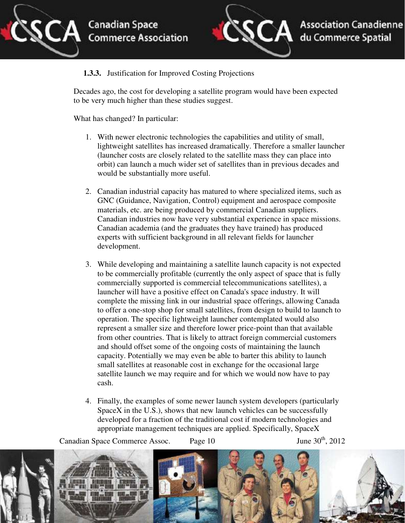



#### **1.3.3.** Justification for Improved Costing Projections

Decades ago, the cost for developing a satellite program would have been expected to be very much higher than these studies suggest.

What has changed? In particular:

- 1. With newer electronic technologies the capabilities and utility of small, lightweight satellites has increased dramatically. Therefore a smaller launcher (launcher costs are closely related to the satellite mass they can place into orbit) can launch a much wider set of satellites than in previous decades and would be substantially more useful.
- 2. Canadian industrial capacity has matured to where specialized items, such as GNC (Guidance, Navigation, Control) equipment and aerospace composite materials, etc. are being produced by commercial Canadian suppliers. Canadian industries now have very substantial experience in space missions. Canadian academia (and the graduates they have trained) has produced experts with sufficient background in all relevant fields for launcher development.
- 3. While developing and maintaining a satellite launch capacity is not expected to be commercially profitable (currently the only aspect of space that is fully commercially supported is commercial telecommunications satellites), a launcher will have a positive effect on Canada's space industry. It will complete the missing link in our industrial space offerings, allowing Canada to offer a one-stop shop for small satellites, from design to build to launch to operation. The specific lightweight launcher contemplated would also represent a smaller size and therefore lower price-point than that available from other countries. That is likely to attract foreign commercial customers and should offset some of the ongoing costs of maintaining the launch capacity. Potentially we may even be able to barter this ability to launch small satellites at reasonable cost in exchange for the occasional large satellite launch we may require and for which we would now have to pay cash.
- 4. Finally, the examples of some newer launch system developers (particularly SpaceX in the U.S.), shows that new launch vehicles can be successfully developed for a fraction of the traditional cost if modern technologies and appropriate management techniques are applied. Specifically, SpaceX

Canadian Space Commerce Assoc. Page  $10$  June  $30<sup>th</sup>$ ,  $2012$ 

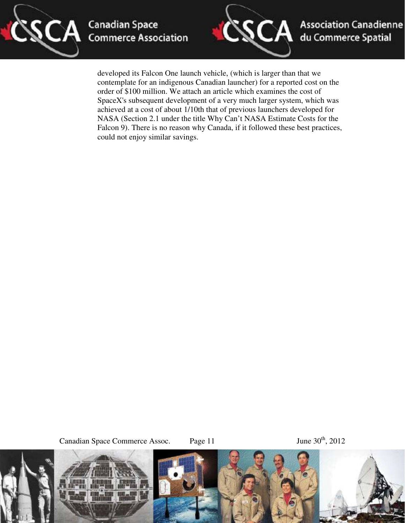



developed its Falcon One launch vehicle, (which is larger than that we contemplate for an indigenous Canadian launcher) for a reported cost on the order of \$100 million. We attach an article which examines the cost of SpaceX's subsequent development of a very much larger system, which was achieved at a cost of about 1/10th that of previous launchers developed for NASA (Section 2.1 under the title Why Can't NASA Estimate Costs for the Falcon 9). There is no reason why Canada, if it followed these best practices, could not enjoy similar savings.

Canadian Space Commerce Assoc. Page 11 June 30<sup>th</sup>, 2012



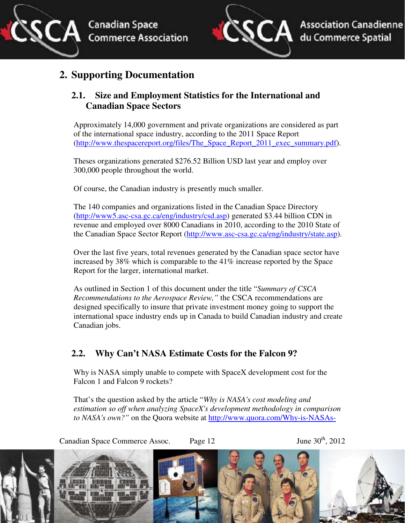![](_page_11_Picture_0.jpeg)

![](_page_11_Picture_1.jpeg)

## **2. Supporting Documentation**

## **2.1. Size and Employment Statistics for the International and Canadian Space Sectors**

Approximately 14,000 government and private organizations are considered as part of the international space industry, according to the 2011 Space Report (http://www.thespacereport.org/files/The\_Space\_Report\_2011\_exec\_summary.pdf).

Theses organizations generated \$276.52 Billion USD last year and employ over 300,000 people throughout the world.

Of course, the Canadian industry is presently much smaller.

The 140 companies and organizations listed in the Canadian Space Directory (http://www5.asc-csa.gc.ca/eng/industry/csd.asp) generated \$3.44 billion CDN in revenue and employed over 8000 Canadians in 2010, according to the 2010 State of the Canadian Space Sector Report (http://www.asc-csa.gc.ca/eng/industry/state.asp).

Over the last five years, total revenues generated by the Canadian space sector have increased by 38% which is comparable to the 41% increase reported by the Space Report for the larger, international market.

As outlined in Section 1 of this document under the title "*Summary of CSCA Recommendations to the Aerospace Review,"* the CSCA recommendations are designed specifically to insure that private investment money going to support the international space industry ends up in Canada to build Canadian industry and create Canadian jobs.

## **2.2. Why Can't NASA Estimate Costs for the Falcon 9?**

Why is NASA simply unable to compete with SpaceX development cost for the Falcon 1 and Falcon 9 rockets?

That's the question asked by the article "*Why is NASA's cost modeling and estimation so off when analyzing SpaceX's development methodology in comparison to NASA's own?"* on the Quora website at http://www.quora.com/Why-is-NASAs-

![](_page_11_Picture_14.jpeg)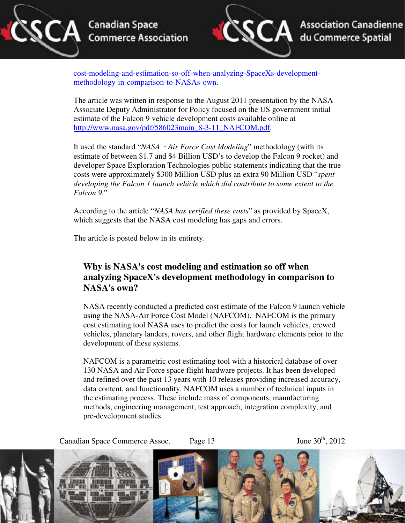![](_page_12_Picture_0.jpeg)

![](_page_12_Picture_2.jpeg)

cost-modeling-and-estimation-so-off-when-analyzing-SpaceXs-developmentmethodology-in-comparison-to-NASAs-own.

The article was written in response to the August 2011 presentation by the NASA Associate Deputy Administrator for Policy focused on the US government initial estimate of the Falcon 9 vehicle development costs available online at http://www.nasa.gov/pdf/586023main\_8-3-11\_NAFCOM.pdf.

It used the standard "*NASA*‐*Air Force Cost Modeling*" methodology (with its estimate of between \$1.7 and \$4 Billion USD's to develop the Falcon 9 rocket) and developer Space Exploration Technologies public statements indicating that the true costs were approximately \$300 Million USD plus an extra 90 Million USD "*spent developing the Falcon 1 launch vehicle which did contribute to some extent to the Falcon 9.*"

According to the article "*NASA has verified these costs*" as provided by SpaceX, which suggests that the NASA cost modeling has gaps and errors.

The article is posted below in its entirety.

## **Why is NASA's cost modeling and estimation so off when analyzing SpaceX's development methodology in comparison to NASA's own?**

NASA recently conducted a predicted cost estimate of the Falcon 9 launch vehicle using the NASA-Air Force Cost Model (NAFCOM). NAFCOM is the primary cost estimating tool NASA uses to predict the costs for launch vehicles, crewed vehicles, planetary landers, rovers, and other flight hardware elements prior to the development of these systems.

NAFCOM is a parametric cost estimating tool with a historical database of over 130 NASA and Air Force space flight hardware projects. It has been developed and refined over the past 13 years with 10 releases providing increased accuracy, data content, and functionality. NAFCOM uses a number of technical inputs in the estimating process. These include mass of components, manufacturing methods, engineering management, test approach, integration complexity, and pre-development studies.

Canadian Space Commerce Assoc. Page 13 June  $30<sup>th</sup>$ ,  $2012$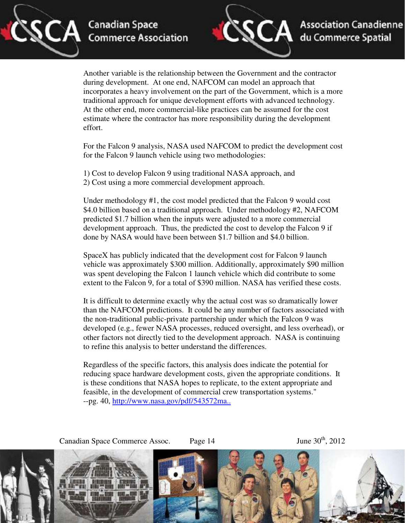![](_page_13_Picture_0.jpeg)

![](_page_13_Picture_2.jpeg)

Another variable is the relationship between the Government and the contractor during development. At one end, NAFCOM can model an approach that incorporates a heavy involvement on the part of the Government, which is a more traditional approach for unique development efforts with advanced technology. At the other end, more commercial-like practices can be assumed for the cost estimate where the contractor has more responsibility during the development effort.

For the Falcon 9 analysis, NASA used NAFCOM to predict the development cost for the Falcon 9 launch vehicle using two methodologies:

1) Cost to develop Falcon 9 using traditional NASA approach, and 2) Cost using a more commercial development approach.

Under methodology #1, the cost model predicted that the Falcon 9 would cost \$4.0 billion based on a traditional approach. Under methodology #2, NAFCOM predicted \$1.7 billion when the inputs were adjusted to a more commercial development approach. Thus, the predicted the cost to develop the Falcon 9 if done by NASA would have been between \$1.7 billion and \$4.0 billion.

SpaceX has publicly indicated that the development cost for Falcon 9 launch vehicle was approximately \$300 million. Additionally, approximately \$90 million was spent developing the Falcon 1 launch vehicle which did contribute to some extent to the Falcon 9, for a total of \$390 million. NASA has verified these costs.

It is difficult to determine exactly why the actual cost was so dramatically lower than the NAFCOM predictions. It could be any number of factors associated with the non-traditional public-private partnership under which the Falcon 9 was developed (e.g., fewer NASA processes, reduced oversight, and less overhead), or other factors not directly tied to the development approach. NASA is continuing to refine this analysis to better understand the differences.

Regardless of the specific factors, this analysis does indicate the potential for reducing space hardware development costs, given the appropriate conditions. It is these conditions that NASA hopes to replicate, to the extent appropriate and feasible, in the development of commercial crew transportation systems." --pg. 40, http://www.nasa.gov/pdf/543572ma..

Canadian Space Commerce Assoc. Page  $14$  June  $30<sup>th</sup>$ ,  $2012$ 

![](_page_13_Picture_13.jpeg)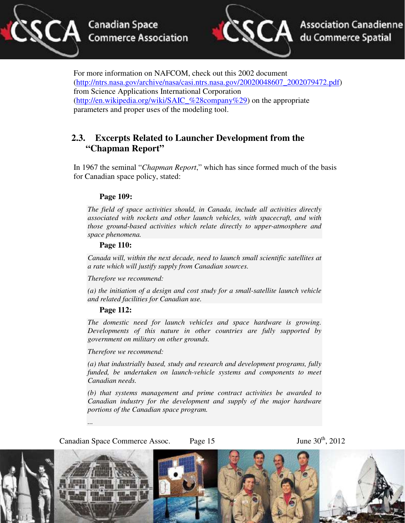![](_page_14_Picture_0.jpeg)

![](_page_14_Picture_2.jpeg)

For more information on NAFCOM, check out this 2002 document (http://ntrs.nasa.gov/archive/nasa/casi.ntrs.nasa.gov/20020048607\_2002079472.pdf) from Science Applications International Corporation (http://en.wikipedia.org/wiki/SAIC\_%28company%29) on the appropriate parameters and proper uses of the modeling tool.

## **2.3. Excerpts Related to Launcher Development from the "Chapman Report"**

In 1967 the seminal "*Chapman Report*," which has since formed much of the basis for Canadian space policy, stated:

#### **Page 109:**

*The field of space activities should, in Canada, include all activities directly associated with rockets and other launch vehicles, with spacecraft, and with those ground-based activities which relate directly to upper-atmosphere and space phenomena.* 

#### **Page 110:**

*Canada will, within the next decade, need to launch small scientific satellites at a rate which will justify supply from Canadian sources.* 

*Therefore we recommend:* 

*(a) the initiation of a design and cost study for a small-satellite launch vehicle and related facilities for Canadian use.* 

#### **Page 112:**

*The domestic need for launch vehicles and space hardware is growing. Developments of this nature in other countries are fully supported by government on military on other grounds.* 

*Therefore we recommend:* 

*(a) that industrially based, study and research and development programs, fully funded, be undertaken on launch-vehicle systems and components to meet Canadian needs.* 

*(b) that systems management and prime contract activities be awarded to Canadian industry for the development and supply of the major hardware portions of the Canadian space program.* 

Canadian Space Commerce Assoc. Page  $15$  June  $30<sup>th</sup>$ ,  $2012$ 

*...* 

![](_page_14_Picture_19.jpeg)

![](_page_14_Picture_20.jpeg)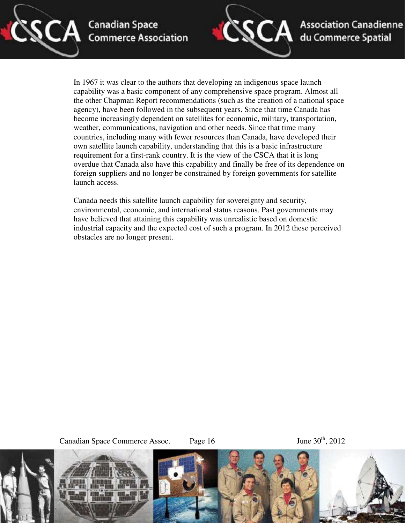![](_page_15_Picture_0.jpeg)

![](_page_15_Picture_2.jpeg)

**Association Canadienne** du Commerce Spatial

In 1967 it was clear to the authors that developing an indigenous space launch capability was a basic component of any comprehensive space program. Almost all the other Chapman Report recommendations (such as the creation of a national space agency), have been followed in the subsequent years. Since that time Canada has become increasingly dependent on satellites for economic, military, transportation, weather, communications, navigation and other needs. Since that time many countries, including many with fewer resources than Canada, have developed their own satellite launch capability, understanding that this is a basic infrastructure requirement for a first-rank country. It is the view of the CSCA that it is long overdue that Canada also have this capability and finally be free of its dependence on foreign suppliers and no longer be constrained by foreign governments for satellite launch access.

Canada needs this satellite launch capability for sovereignty and security, environmental, economic, and international status reasons. Past governments may have believed that attaining this capability was unrealistic based on domestic industrial capacity and the expected cost of such a program. In 2012 these perceived obstacles are no longer present.

Canadian Space Commerce Assoc. Page 16 June 30<sup>th</sup>, 2012

![](_page_15_Picture_8.jpeg)

![](_page_15_Picture_9.jpeg)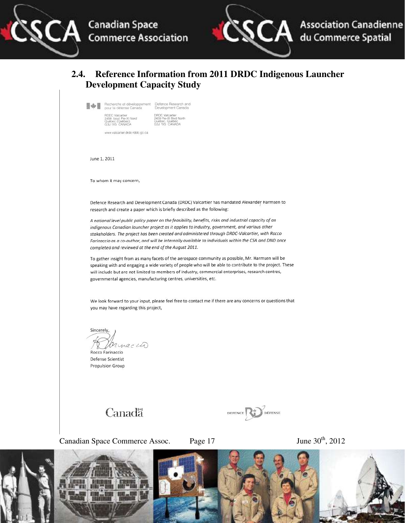![](_page_16_Picture_0.jpeg)

![](_page_16_Picture_1.jpeg)

#### **2.4. Reference Information from 2011 DRDC Indigenous Launcher Development Capacity Study**

| Recherche et développement.<br>pour la défense Canada<br>the second power of the first temperature of the control                                  | Defence Research and<br>Development Canada                                                               |
|----------------------------------------------------------------------------------------------------------------------------------------------------|----------------------------------------------------------------------------------------------------------|
| <b>RODC</b> Valcartier<br>2459, boul. Pie-XI Nord<br>Québec (Québec)<br>G3J 1X5 CANADA<br>www.community.com/2010<br>www.valcartier.drdc-rddc.gc.ca | DROC Valcartier<br>2459 Pie-XI Blvd North<br>Québec, Quebec<br>G3J 1X5 CANADA<br>지시 물은 이 사람은 사람이 사람이 있다. |

June 1, 2011

To whom it may concern,

Defence Research and Development Canada (DRDC) Valcartier has mandated Alexander Harmsen to research and create a paper which is briefly described as the following:

A national level public policy paper on the feasibility, benefits, risks and industrial capacity of an indigenous Canadian launcher project as it applies to industry, government, and various other stakeholders. The project has been created and administered through DRDC-Valcartier, with Rocco Farinaccio as a co-author, and will be internally available to individuals within the CSA and DND once completed and reviewed at the end of the August 2011.

To gather insight from as many facets of the aerospace community as possible, Mr. Harmsen will be speaking with and engaging a wide variety of people who will be able to contribute to the project. These will include but are not limited to members of industry, commercial enterprises, research centres, governmental agencies, manufacturing centres, universities, etc.

We look forward to your input, please feel free to contact me if there are any concerns or questions that you may have regarding this project,

Sincerely Ornaccio

Rocco Farinaccio Defense Scientist Propulsion Group

# Canadä

![](_page_16_Picture_13.jpeg)

Canadian Space Commerce Assoc. Page 17 June 30<sup>th</sup>, 2012

![](_page_16_Picture_16.jpeg)

![](_page_16_Picture_17.jpeg)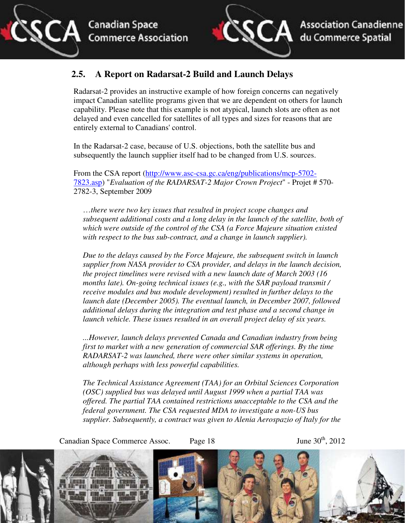![](_page_17_Picture_1.jpeg)

## **2.5. A Report on Radarsat-2 Build and Launch Delays**

Radarsat-2 provides an instructive example of how foreign concerns can negatively impact Canadian satellite programs given that we are dependent on others for launch capability. Please note that this example is not atypical, launch slots are often as not delayed and even cancelled for satellites of all types and sizes for reasons that are entirely external to Canadians' control.

In the Radarsat-2 case, because of U.S. objections, both the satellite bus and subsequently the launch supplier itself had to be changed from U.S. sources.

From the CSA report (http://www.asc-csa.gc.ca/eng/publications/mcp-5702- 7823.asp) "*Evaluation of the RADARSAT-2 Major Crown Project*" - Projet # 570- 2782-3, September 2009

…*there were two key issues that resulted in project scope changes and subsequent additional costs and a long delay in the launch of the satellite, both of which were outside of the control of the CSA (a Force Majeure situation existed with respect to the bus sub-contract, and a change in launch supplier).* 

*Due to the delays caused by the Force Majeure, the subsequent switch in launch supplier from NASA provider to CSA provider, and delays in the launch decision, the project timelines were revised with a new launch date of March 2003 (16 months late). On-going technical issues (e.g., with the SAR payload transmit / receive modules and bus module development) resulted in further delays to the launch date (December 2005). The eventual launch, in December 2007, followed additional delays during the integration and test phase and a second change in launch vehicle. These issues resulted in an overall project delay of six years.* 

*...However, launch delays prevented Canada and Canadian industry from being first to market with a new generation of commercial SAR offerings. By the time RADARSAT-2 was launched, there were other similar systems in operation, although perhaps with less powerful capabilities.* 

*The Technical Assistance Agreement (TAA) for an Orbital Sciences Corporation (OSC) supplied bus was delayed until August 1999 when a partial TAA was offered. The partial TAA contained restrictions unacceptable to the CSA and the federal government. The CSA requested MDA to investigate a non-US bus supplier. Subsequently, a contract was given to Alenia Aerospazio of Italy for the* 

![](_page_17_Picture_10.jpeg)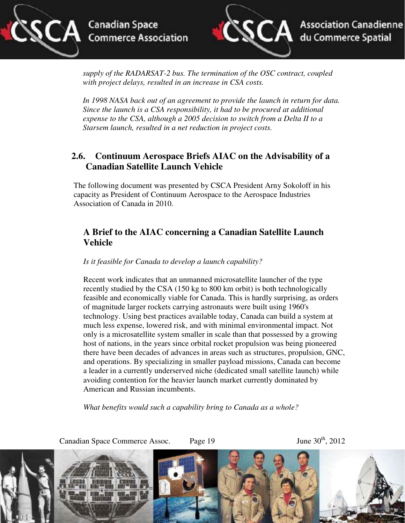![](_page_18_Picture_0.jpeg)

![](_page_18_Picture_2.jpeg)

*supply of the RADARSAT-2 bus. The termination of the OSC contract, coupled with project delays, resulted in an increase in CSA costs.* 

*In 1998 NASA back out of an agreement to provide the launch in return for data. Since the launch is a CSA responsibility, it had to be procured at additional expense to the CSA, although a 2005 decision to switch from a Delta II to a Starsem launch, resulted in a net reduction in project costs.* 

## **2.6. Continuum Aerospace Briefs AIAC on the Advisability of a Canadian Satellite Launch Vehicle**

The following document was presented by CSCA President Arny Sokoloff in his capacity as President of Continuum Aerospace to the Aerospace Industries Association of Canada in 2010.

### **A Brief to the AIAC concerning a Canadian Satellite Launch Vehicle**

*Is it feasible for Canada to develop a launch capability?* 

Recent work indicates that an unmanned microsatellite launcher of the type recently studied by the CSA (150 kg to 800 km orbit) is both technologically feasible and economically viable for Canada. This is hardly surprising, as orders of magnitude larger rockets carrying astronauts were built using 1960's technology. Using best practices available today, Canada can build a system at much less expense, lowered risk, and with minimal environmental impact. Not only is a microsatellite system smaller in scale than that possessed by a growing host of nations, in the years since orbital rocket propulsion was being pioneered there have been decades of advances in areas such as structures, propulsion, GNC, and operations. By specializing in smaller payload missions, Canada can become a leader in a currently underserved niche (dedicated small satellite launch) while avoiding contention for the heavier launch market currently dominated by American and Russian incumbents.

*What benefits would such a capability bring to Canada as a whole?* 

![](_page_18_Picture_11.jpeg)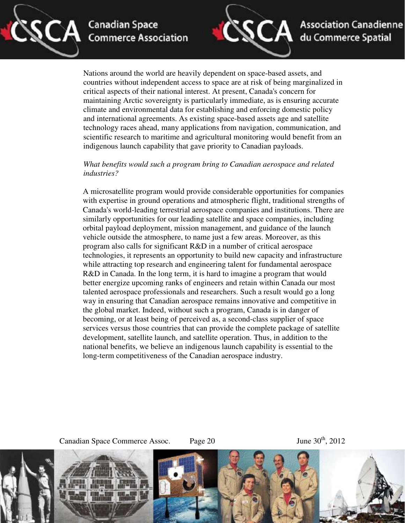![](_page_19_Picture_0.jpeg)

![](_page_19_Picture_2.jpeg)

Nations around the world are heavily dependent on space-based assets, and countries without independent access to space are at risk of being marginalized in critical aspects of their national interest. At present, Canada's concern for maintaining Arctic sovereignty is particularly immediate, as is ensuring accurate climate and environmental data for establishing and enforcing domestic policy and international agreements. As existing space-based assets age and satellite technology races ahead, many applications from navigation, communication, and scientific research to maritime and agricultural monitoring would benefit from an indigenous launch capability that gave priority to Canadian payloads.

#### *What benefits would such a program bring to Canadian aerospace and related industries?*

A microsatellite program would provide considerable opportunities for companies with expertise in ground operations and atmospheric flight, traditional strengths of Canada's world-leading terrestrial aerospace companies and institutions. There are similarly opportunities for our leading satellite and space companies, including orbital payload deployment, mission management, and guidance of the launch vehicle outside the atmosphere, to name just a few areas. Moreover, as this program also calls for significant R&D in a number of critical aerospace technologies, it represents an opportunity to build new capacity and infrastructure while attracting top research and engineering talent for fundamental aerospace R&D in Canada. In the long term, it is hard to imagine a program that would better energize upcoming ranks of engineers and retain within Canada our most talented aerospace professionals and researchers. Such a result would go a long way in ensuring that Canadian aerospace remains innovative and competitive in the global market. Indeed, without such a program, Canada is in danger of becoming, or at least being of perceived as, a second-class supplier of space services versus those countries that can provide the complete package of satellite development, satellite launch, and satellite operation. Thus, in addition to the national benefits, we believe an indigenous launch capability is essential to the long-term competitiveness of the Canadian aerospace industry.

Canadian Space Commerce Assoc. Page  $20$  June  $30<sup>th</sup>$ ,  $2012$ 

![](_page_19_Picture_9.jpeg)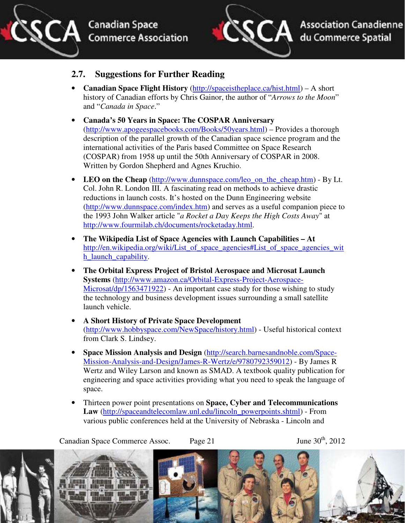![](_page_20_Picture_0.jpeg)

![](_page_20_Picture_2.jpeg)

**Association Canadienne** du Commerce Spatial

### **2.7. Suggestions for Further Reading**

- **Canadian Space Flight History** (http://spaceistheplace.ca/hist.html) A short history of Canadian efforts by Chris Gainor, the author of "*Arrows to the Moon*" and "*Canada in Space*."
- **Canada's 50 Years in Space: The COSPAR Anniversary**  (http://www.apogeespacebooks.com/Books/50years.html) – Provides a thorough description of the parallel growth of the Canadian space science program and the international activities of the Paris based Committee on Space Research (COSPAR) from 1958 up until the 50th Anniversary of COSPAR in 2008. Written by Gordon Shepherd and Agnes Kruchio.
- LEO on the Cheap (http://www.dunnspace.com/leo\_on\_the\_cheap.htm) By Lt. Col. John R. London III. A fascinating read on methods to achieve drastic reductions in launch costs. It's hosted on the Dunn Engineering website (http://www.dunnspace.com/index.htm) and serves as a useful companion piece to the 1993 John Walker article "*a Rocket a Day Keeps the High Costs Away*" at http://www.fourmilab.ch/documents/rocketaday.html.
- **The Wikipedia List of Space Agencies with Launch Capabilities At** http://en.wikipedia.org/wiki/List\_of\_space\_agencies#List\_of\_space\_agencies\_wit h\_launch\_capability.
- **The Orbital Express Project of Bristol Aerospace and Microsat Launch Systems** (http://www.amazon.ca/Orbital-Express-Project-Aerospace-Microsat/dp/1563471922) - An important case study for those wishing to study the technology and business development issues surrounding a small satellite launch vehicle.
- **A Short History of Private Space Development** (http://www.hobbyspace.com/NewSpace/history.html) - Useful historical context from Clark S. Lindsey.
- **Space Mission Analysis and Design** (http://search.barnesandnoble.com/Space-Mission-Analysis-and-Design/James-R-Wertz/e/9780792359012) - By James R Wertz and Wiley Larson and known as SMAD. A textbook quality publication for engineering and space activities providing what you need to speak the language of space.
- Thirteen power point presentations on **Space, Cyber and Telecommunications Law** (http://spaceandtelecomlaw.unl.edu/lincoln\_powerpoints.shtml) - From various public conferences held at the University of Nebraska - Lincoln and

Canadian Space Commerce Assoc. Page 21 June 30<sup>th</sup>, 2012

![](_page_20_Picture_15.jpeg)